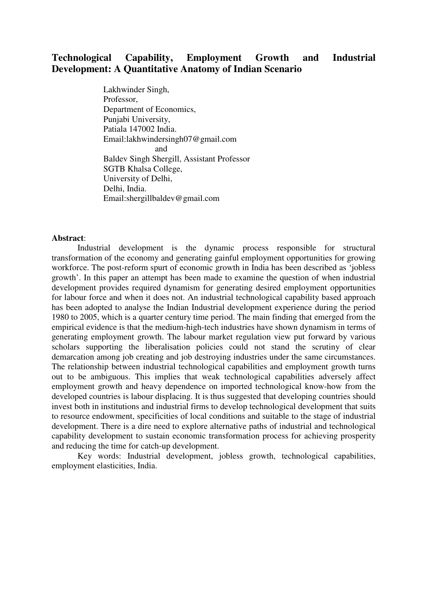# **Technological Capability, Employment Growth and Industrial Development: A Quantitative Anatomy of Indian Scenario**

Lakhwinder Singh, Professor, Department of Economics, Punjabi University, Patiala 147002 India. Email:lakhwindersingh07@gmail.com and and state and state and state and state and state and state and state and state and state and state and state and state and state and state and state and state and state and state and state and state and state and stat Baldev Singh Shergill, Assistant Professor SGTB Khalsa College, University of Delhi, Delhi, India. Email:shergillbaldev@gmail.com

## **Abstract**:

Industrial development is the dynamic process responsible for structural transformation of the economy and generating gainful employment opportunities for growing workforce. The post-reform spurt of economic growth in India has been described as 'jobless growth'. In this paper an attempt has been made to examine the question of when industrial development provides required dynamism for generating desired employment opportunities for labour force and when it does not. An industrial technological capability based approach has been adopted to analyse the Indian Industrial development experience during the period 1980 to 2005, which is a quarter century time period. The main finding that emerged from the empirical evidence is that the medium-high-tech industries have shown dynamism in terms of generating employment growth. The labour market regulation view put forward by various scholars supporting the liberalisation policies could not stand the scrutiny of clear demarcation among job creating and job destroying industries under the same circumstances. The relationship between industrial technological capabilities and employment growth turns out to be ambiguous. This implies that weak technological capabilities adversely affect employment growth and heavy dependence on imported technological know-how from the developed countries is labour displacing. It is thus suggested that developing countries should invest both in institutions and industrial firms to develop technological development that suits to resource endowment, specificities of local conditions and suitable to the stage of industrial development. There is a dire need to explore alternative paths of industrial and technological capability development to sustain economic transformation process for achieving prosperity and reducing the time for catch-up development.

Key words: Industrial development, jobless growth, technological capabilities, employment elasticities, India.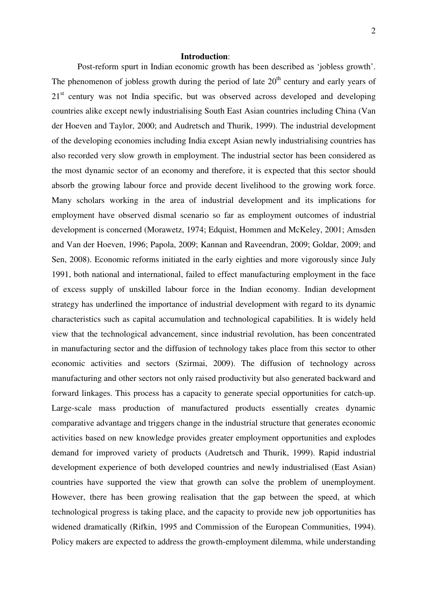#### **Introduction**:

Post-reform spurt in Indian economic growth has been described as 'jobless growth'. The phenomenon of jobless growth during the period of late  $20<sup>th</sup>$  century and early years of 21<sup>st</sup> century was not India specific, but was observed across developed and developing countries alike except newly industrialising South East Asian countries including China (Van der Hoeven and Taylor, 2000; and Audretsch and Thurik, 1999). The industrial development of the developing economies including India except Asian newly industrialising countries has also recorded very slow growth in employment. The industrial sector has been considered as the most dynamic sector of an economy and therefore, it is expected that this sector should absorb the growing labour force and provide decent livelihood to the growing work force. Many scholars working in the area of industrial development and its implications for employment have observed dismal scenario so far as employment outcomes of industrial development is concerned (Morawetz, 1974; Edquist, Hommen and McKeley, 2001; Amsden and Van der Hoeven, 1996; Papola, 2009; Kannan and Raveendran, 2009; Goldar, 2009; and Sen, 2008). Economic reforms initiated in the early eighties and more vigorously since July 1991, both national and international, failed to effect manufacturing employment in the face of excess supply of unskilled labour force in the Indian economy. Indian development strategy has underlined the importance of industrial development with regard to its dynamic characteristics such as capital accumulation and technological capabilities. It is widely held view that the technological advancement, since industrial revolution, has been concentrated in manufacturing sector and the diffusion of technology takes place from this sector to other economic activities and sectors (Szirmai, 2009). The diffusion of technology across manufacturing and other sectors not only raised productivity but also generated backward and forward linkages. This process has a capacity to generate special opportunities for catch-up. Large-scale mass production of manufactured products essentially creates dynamic comparative advantage and triggers change in the industrial structure that generates economic activities based on new knowledge provides greater employment opportunities and explodes demand for improved variety of products (Audretsch and Thurik, 1999). Rapid industrial development experience of both developed countries and newly industrialised (East Asian) countries have supported the view that growth can solve the problem of unemployment. However, there has been growing realisation that the gap between the speed, at which technological progress is taking place, and the capacity to provide new job opportunities has widened dramatically (Rifkin, 1995 and Commission of the European Communities, 1994). Policy makers are expected to address the growth-employment dilemma, while understanding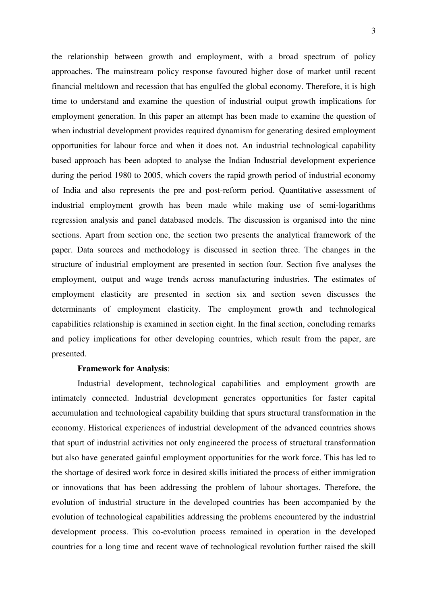the relationship between growth and employment, with a broad spectrum of policy approaches. The mainstream policy response favoured higher dose of market until recent financial meltdown and recession that has engulfed the global economy. Therefore, it is high time to understand and examine the question of industrial output growth implications for employment generation. In this paper an attempt has been made to examine the question of when industrial development provides required dynamism for generating desired employment opportunities for labour force and when it does not. An industrial technological capability based approach has been adopted to analyse the Indian Industrial development experience during the period 1980 to 2005, which covers the rapid growth period of industrial economy of India and also represents the pre and post-reform period. Quantitative assessment of industrial employment growth has been made while making use of semi-logarithms regression analysis and panel databased models. The discussion is organised into the nine sections. Apart from section one, the section two presents the analytical framework of the paper. Data sources and methodology is discussed in section three. The changes in the structure of industrial employment are presented in section four. Section five analyses the employment, output and wage trends across manufacturing industries. The estimates of employment elasticity are presented in section six and section seven discusses the determinants of employment elasticity. The employment growth and technological capabilities relationship is examined in section eight. In the final section, concluding remarks and policy implications for other developing countries, which result from the paper, are presented.

## **Framework for Analysis**:

Industrial development, technological capabilities and employment growth are intimately connected. Industrial development generates opportunities for faster capital accumulation and technological capability building that spurs structural transformation in the economy. Historical experiences of industrial development of the advanced countries shows that spurt of industrial activities not only engineered the process of structural transformation but also have generated gainful employment opportunities for the work force. This has led to the shortage of desired work force in desired skills initiated the process of either immigration or innovations that has been addressing the problem of labour shortages. Therefore, the evolution of industrial structure in the developed countries has been accompanied by the evolution of technological capabilities addressing the problems encountered by the industrial development process. This co-evolution process remained in operation in the developed countries for a long time and recent wave of technological revolution further raised the skill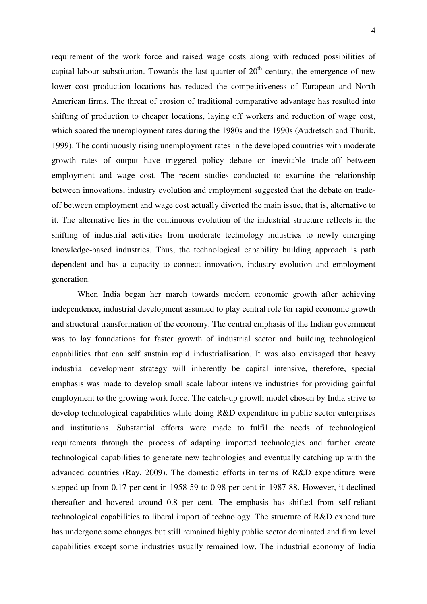requirement of the work force and raised wage costs along with reduced possibilities of capital-labour substitution. Towards the last quarter of  $20<sup>th</sup>$  century, the emergence of new lower cost production locations has reduced the competitiveness of European and North American firms. The threat of erosion of traditional comparative advantage has resulted into shifting of production to cheaper locations, laying off workers and reduction of wage cost, which soared the unemployment rates during the 1980s and the 1990s (Audretsch and Thurik, 1999). The continuously rising unemployment rates in the developed countries with moderate growth rates of output have triggered policy debate on inevitable trade-off between employment and wage cost. The recent studies conducted to examine the relationship between innovations, industry evolution and employment suggested that the debate on tradeoff between employment and wage cost actually diverted the main issue, that is, alternative to it. The alternative lies in the continuous evolution of the industrial structure reflects in the shifting of industrial activities from moderate technology industries to newly emerging knowledge-based industries. Thus, the technological capability building approach is path dependent and has a capacity to connect innovation, industry evolution and employment generation.

When India began her march towards modern economic growth after achieving independence, industrial development assumed to play central role for rapid economic growth and structural transformation of the economy. The central emphasis of the Indian government was to lay foundations for faster growth of industrial sector and building technological capabilities that can self sustain rapid industrialisation. It was also envisaged that heavy industrial development strategy will inherently be capital intensive, therefore, special emphasis was made to develop small scale labour intensive industries for providing gainful employment to the growing work force. The catch-up growth model chosen by India strive to develop technological capabilities while doing R&D expenditure in public sector enterprises and institutions. Substantial efforts were made to fulfil the needs of technological requirements through the process of adapting imported technologies and further create technological capabilities to generate new technologies and eventually catching up with the advanced countries (Ray, 2009). The domestic efforts in terms of R&D expenditure were stepped up from 0.17 per cent in 1958-59 to 0.98 per cent in 1987-88. However, it declined thereafter and hovered around 0.8 per cent. The emphasis has shifted from self-reliant technological capabilities to liberal import of technology. The structure of R&D expenditure has undergone some changes but still remained highly public sector dominated and firm level capabilities except some industries usually remained low. The industrial economy of India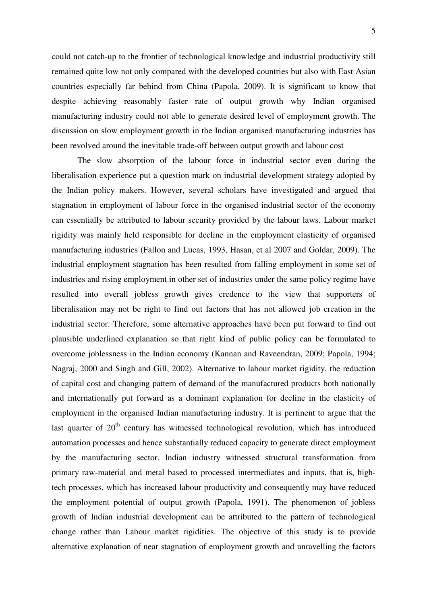could not catch-up to the frontier of technological knowledge and industrial productivity still remained quite low not only compared with the developed countries but also with East Asian countries especially far behind from China (Papola, 2009). It is significant to know that despite achieving reasonably faster rate of output growth why Indian organised manufacturing industry could not able to generate desired level of employment growth. The discussion on slow employment growth in the Indian organised manufacturing industries has been revolved around the inevitable trade-off between output growth and labour cost

The slow absorption of the labour force in industrial sector even during the liberalisation experience put a question mark on industrial development strategy adopted by the Indian policy makers. However, several scholars have investigated and argued that stagnation in employment of labour force in the organised industrial sector of the economy can essentially be attributed to labour security provided by the labour laws. Labour market rigidity was mainly held responsible for decline in the employment elasticity of organised manufacturing industries (Fallon and Lucas, 1993, Hasan, et al 2007 and Goldar, 2009). The industrial employment stagnation has been resulted from falling employment in some set of industries and rising employment in other set of industries under the same policy regime have resulted into overall jobless growth gives credence to the view that supporters of liberalisation may not be right to find out factors that has not allowed job creation in the industrial sector. Therefore, some alternative approaches have been put forward to find out plausible underlined explanation so that right kind of public policy can be formulated to overcome joblessness in the Indian economy (Kannan and Raveendran, 2009; Papola, 1994; Nagraj, 2000 and Singh and Gill, 2002). Alternative to labour market rigidity, the reduction of capital cost and changing pattern of demand of the manufactured products both nationally and internationally put forward as a dominant explanation for decline in the elasticity of employment in the organised Indian manufacturing industry. It is pertinent to argue that the last quarter of  $20<sup>th</sup>$  century has witnessed technological revolution, which has introduced automation processes and hence substantially reduced capacity to generate direct employment by the manufacturing sector. Indian industry witnessed structural transformation from primary raw-material and metal based to processed intermediates and inputs, that is, hightech processes, which has increased labour productivity and consequently may have reduced the employment potential of output growth (Papola, 1991). The phenomenon of jobless growth of Indian industrial development can be attributed to the pattern of technological change rather than Labour market rigidities. The objective of this study is to provide alternative explanation of near stagnation of employment growth and unravelling the factors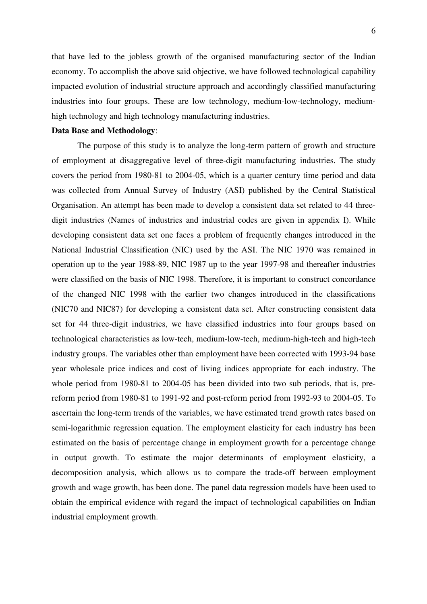that have led to the jobless growth of the organised manufacturing sector of the Indian economy. To accomplish the above said objective, we have followed technological capability impacted evolution of industrial structure approach and accordingly classified manufacturing industries into four groups. These are low technology, medium-low-technology, mediumhigh technology and high technology manufacturing industries.

#### **Data Base and Methodology**:

 The purpose of this study is to analyze the long-term pattern of growth and structure of employment at disaggregative level of three-digit manufacturing industries. The study covers the period from 1980-81 to 2004-05, which is a quarter century time period and data was collected from Annual Survey of Industry (ASI) published by the Central Statistical Organisation. An attempt has been made to develop a consistent data set related to 44 threedigit industries (Names of industries and industrial codes are given in appendix I). While developing consistent data set one faces a problem of frequently changes introduced in the National Industrial Classification (NIC) used by the ASI. The NIC 1970 was remained in operation up to the year 1988-89, NIC 1987 up to the year 1997-98 and thereafter industries were classified on the basis of NIC 1998. Therefore, it is important to construct concordance of the changed NIC 1998 with the earlier two changes introduced in the classifications (NIC70 and NIC87) for developing a consistent data set. After constructing consistent data set for 44 three-digit industries, we have classified industries into four groups based on technological characteristics as low-tech, medium-low-tech, medium-high-tech and high-tech industry groups. The variables other than employment have been corrected with 1993-94 base year wholesale price indices and cost of living indices appropriate for each industry. The whole period from 1980-81 to 2004-05 has been divided into two sub periods, that is, prereform period from 1980-81 to 1991-92 and post-reform period from 1992-93 to 2004-05. To ascertain the long-term trends of the variables, we have estimated trend growth rates based on semi-logarithmic regression equation. The employment elasticity for each industry has been estimated on the basis of percentage change in employment growth for a percentage change in output growth. To estimate the major determinants of employment elasticity, a decomposition analysis, which allows us to compare the trade-off between employment growth and wage growth, has been done. The panel data regression models have been used to obtain the empirical evidence with regard the impact of technological capabilities on Indian industrial employment growth.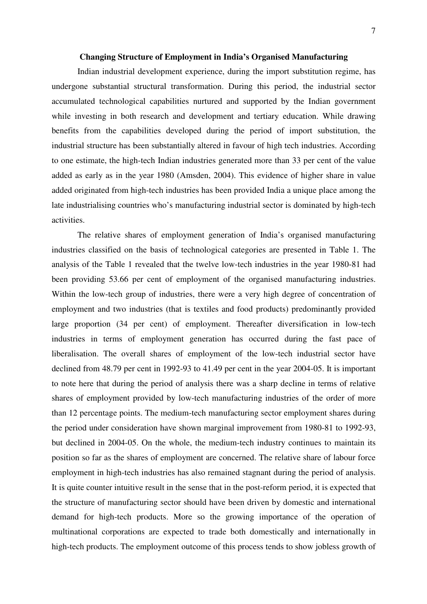#### **Changing Structure of Employment in India's Organised Manufacturing**

Indian industrial development experience, during the import substitution regime, has undergone substantial structural transformation. During this period, the industrial sector accumulated technological capabilities nurtured and supported by the Indian government while investing in both research and development and tertiary education. While drawing benefits from the capabilities developed during the period of import substitution, the industrial structure has been substantially altered in favour of high tech industries. According to one estimate, the high-tech Indian industries generated more than 33 per cent of the value added as early as in the year 1980 (Amsden, 2004). This evidence of higher share in value added originated from high-tech industries has been provided India a unique place among the late industrialising countries who's manufacturing industrial sector is dominated by high-tech activities.

The relative shares of employment generation of India's organised manufacturing industries classified on the basis of technological categories are presented in Table 1. The analysis of the Table 1 revealed that the twelve low-tech industries in the year 1980-81 had been providing 53.66 per cent of employment of the organised manufacturing industries. Within the low-tech group of industries, there were a very high degree of concentration of employment and two industries (that is textiles and food products) predominantly provided large proportion (34 per cent) of employment. Thereafter diversification in low-tech industries in terms of employment generation has occurred during the fast pace of liberalisation. The overall shares of employment of the low-tech industrial sector have declined from 48.79 per cent in 1992-93 to 41.49 per cent in the year 2004-05. It is important to note here that during the period of analysis there was a sharp decline in terms of relative shares of employment provided by low-tech manufacturing industries of the order of more than 12 percentage points. The medium-tech manufacturing sector employment shares during the period under consideration have shown marginal improvement from 1980-81 to 1992-93, but declined in 2004-05. On the whole, the medium-tech industry continues to maintain its position so far as the shares of employment are concerned. The relative share of labour force employment in high-tech industries has also remained stagnant during the period of analysis. It is quite counter intuitive result in the sense that in the post-reform period, it is expected that the structure of manufacturing sector should have been driven by domestic and international demand for high-tech products. More so the growing importance of the operation of multinational corporations are expected to trade both domestically and internationally in high-tech products. The employment outcome of this process tends to show jobless growth of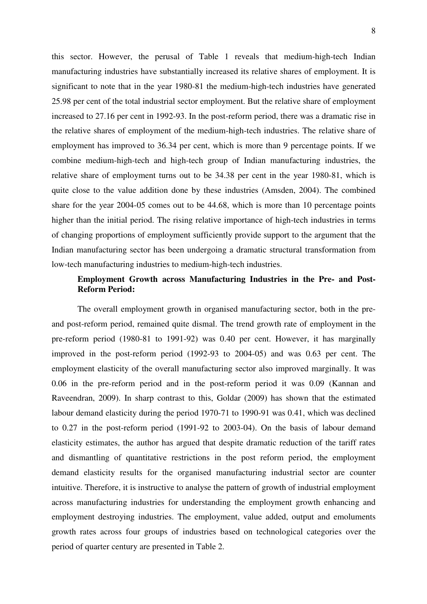this sector. However, the perusal of Table 1 reveals that medium-high-tech Indian manufacturing industries have substantially increased its relative shares of employment. It is significant to note that in the year 1980-81 the medium-high-tech industries have generated 25.98 per cent of the total industrial sector employment. But the relative share of employment increased to 27.16 per cent in 1992-93. In the post-reform period, there was a dramatic rise in the relative shares of employment of the medium-high-tech industries. The relative share of employment has improved to 36.34 per cent, which is more than 9 percentage points. If we combine medium-high-tech and high-tech group of Indian manufacturing industries, the relative share of employment turns out to be 34.38 per cent in the year 1980-81, which is quite close to the value addition done by these industries (Amsden, 2004). The combined share for the year 2004-05 comes out to be 44.68, which is more than 10 percentage points higher than the initial period. The rising relative importance of high-tech industries in terms of changing proportions of employment sufficiently provide support to the argument that the Indian manufacturing sector has been undergoing a dramatic structural transformation from low-tech manufacturing industries to medium-high-tech industries.

## **Employment Growth across Manufacturing Industries in the Pre- and Post-Reform Period:**

 The overall employment growth in organised manufacturing sector, both in the preand post-reform period, remained quite dismal. The trend growth rate of employment in the pre-reform period (1980-81 to 1991-92) was 0.40 per cent. However, it has marginally improved in the post-reform period (1992-93 to 2004-05) and was 0.63 per cent. The employment elasticity of the overall manufacturing sector also improved marginally. It was 0.06 in the pre-reform period and in the post-reform period it was 0.09 (Kannan and Raveendran, 2009). In sharp contrast to this, Goldar (2009) has shown that the estimated labour demand elasticity during the period 1970-71 to 1990-91 was 0.41, which was declined to 0.27 in the post-reform period (1991-92 to 2003-04). On the basis of labour demand elasticity estimates, the author has argued that despite dramatic reduction of the tariff rates and dismantling of quantitative restrictions in the post reform period, the employment demand elasticity results for the organised manufacturing industrial sector are counter intuitive. Therefore, it is instructive to analyse the pattern of growth of industrial employment across manufacturing industries for understanding the employment growth enhancing and employment destroying industries. The employment, value added, output and emoluments growth rates across four groups of industries based on technological categories over the period of quarter century are presented in Table 2.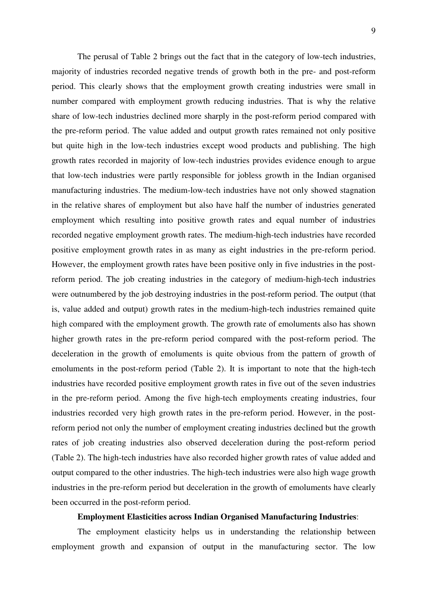The perusal of Table 2 brings out the fact that in the category of low-tech industries, majority of industries recorded negative trends of growth both in the pre- and post-reform period. This clearly shows that the employment growth creating industries were small in number compared with employment growth reducing industries. That is why the relative share of low-tech industries declined more sharply in the post-reform period compared with the pre-reform period. The value added and output growth rates remained not only positive but quite high in the low-tech industries except wood products and publishing. The high growth rates recorded in majority of low-tech industries provides evidence enough to argue that low-tech industries were partly responsible for jobless growth in the Indian organised manufacturing industries. The medium-low-tech industries have not only showed stagnation in the relative shares of employment but also have half the number of industries generated employment which resulting into positive growth rates and equal number of industries recorded negative employment growth rates. The medium-high-tech industries have recorded positive employment growth rates in as many as eight industries in the pre-reform period. However, the employment growth rates have been positive only in five industries in the postreform period. The job creating industries in the category of medium-high-tech industries were outnumbered by the job destroying industries in the post-reform period. The output (that is, value added and output) growth rates in the medium-high-tech industries remained quite high compared with the employment growth. The growth rate of emoluments also has shown higher growth rates in the pre-reform period compared with the post-reform period. The deceleration in the growth of emoluments is quite obvious from the pattern of growth of emoluments in the post-reform period (Table 2). It is important to note that the high-tech industries have recorded positive employment growth rates in five out of the seven industries in the pre-reform period. Among the five high-tech employments creating industries, four industries recorded very high growth rates in the pre-reform period. However, in the postreform period not only the number of employment creating industries declined but the growth rates of job creating industries also observed deceleration during the post-reform period (Table 2). The high-tech industries have also recorded higher growth rates of value added and output compared to the other industries. The high-tech industries were also high wage growth industries in the pre-reform period but deceleration in the growth of emoluments have clearly been occurred in the post-reform period.

#### **Employment Elasticities across Indian Organised Manufacturing Industries**:

 The employment elasticity helps us in understanding the relationship between employment growth and expansion of output in the manufacturing sector. The low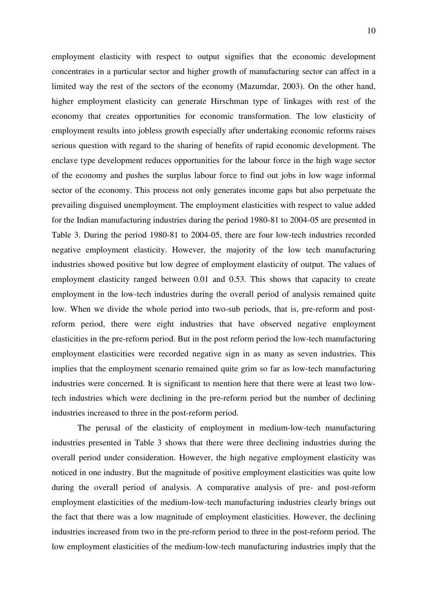employment elasticity with respect to output signifies that the economic development concentrates in a particular sector and higher growth of manufacturing sector can affect in a limited way the rest of the sectors of the economy (Mazumdar, 2003). On the other hand, higher employment elasticity can generate Hirschman type of linkages with rest of the economy that creates opportunities for economic transformation. The low elasticity of employment results into jobless growth especially after undertaking economic reforms raises serious question with regard to the sharing of benefits of rapid economic development. The enclave type development reduces opportunities for the labour force in the high wage sector of the economy and pushes the surplus labour force to find out jobs in low wage informal sector of the economy. This process not only generates income gaps but also perpetuate the prevailing disguised unemployment. The employment elasticities with respect to value added for the Indian manufacturing industries during the period 1980-81 to 2004-05 are presented in Table 3. During the period 1980-81 to 2004-05, there are four low-tech industries recorded negative employment elasticity. However, the majority of the low tech manufacturing industries showed positive but low degree of employment elasticity of output. The values of employment elasticity ranged between 0.01 and 0.53. This shows that capacity to create employment in the low-tech industries during the overall period of analysis remained quite low. When we divide the whole period into two-sub periods, that is, pre-reform and postreform period, there were eight industries that have observed negative employment elasticities in the pre-reform period. But in the post reform period the low-tech manufacturing employment elasticities were recorded negative sign in as many as seven industries. This implies that the employment scenario remained quite grim so far as low-tech manufacturing industries were concerned. It is significant to mention here that there were at least two lowtech industries which were declining in the pre-reform period but the number of declining industries increased to three in the post-reform period.

 The perusal of the elasticity of employment in medium-low-tech manufacturing industries presented in Table 3 shows that there were three declining industries during the overall period under consideration. However, the high negative employment elasticity was noticed in one industry. But the magnitude of positive employment elasticities was quite low during the overall period of analysis. A comparative analysis of pre- and post-reform employment elasticities of the medium-low-tech manufacturing industries clearly brings out the fact that there was a low magnitude of employment elasticities. However, the declining industries increased from two in the pre-reform period to three in the post-reform period. The low employment elasticities of the medium-low-tech manufacturing industries imply that the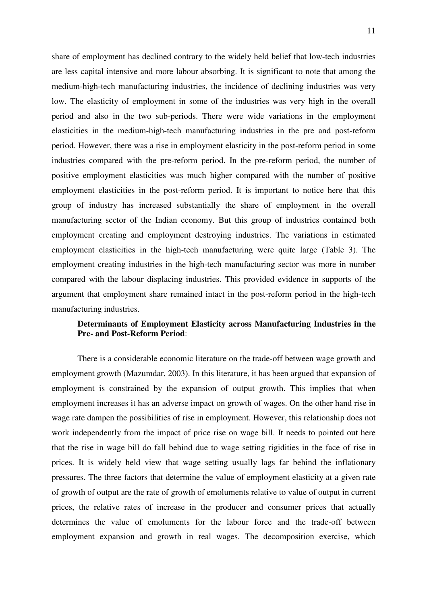share of employment has declined contrary to the widely held belief that low-tech industries are less capital intensive and more labour absorbing. It is significant to note that among the medium-high-tech manufacturing industries, the incidence of declining industries was very low. The elasticity of employment in some of the industries was very high in the overall period and also in the two sub-periods. There were wide variations in the employment elasticities in the medium-high-tech manufacturing industries in the pre and post-reform period. However, there was a rise in employment elasticity in the post-reform period in some industries compared with the pre-reform period. In the pre-reform period, the number of positive employment elasticities was much higher compared with the number of positive employment elasticities in the post-reform period. It is important to notice here that this group of industry has increased substantially the share of employment in the overall manufacturing sector of the Indian economy. But this group of industries contained both employment creating and employment destroying industries. The variations in estimated employment elasticities in the high-tech manufacturing were quite large (Table 3). The employment creating industries in the high-tech manufacturing sector was more in number compared with the labour displacing industries. This provided evidence in supports of the argument that employment share remained intact in the post-reform period in the high-tech manufacturing industries.

## **Determinants of Employment Elasticity across Manufacturing Industries in the Pre- and Post-Reform Period**:

 There is a considerable economic literature on the trade-off between wage growth and employment growth (Mazumdar, 2003). In this literature, it has been argued that expansion of employment is constrained by the expansion of output growth. This implies that when employment increases it has an adverse impact on growth of wages. On the other hand rise in wage rate dampen the possibilities of rise in employment. However, this relationship does not work independently from the impact of price rise on wage bill. It needs to pointed out here that the rise in wage bill do fall behind due to wage setting rigidities in the face of rise in prices. It is widely held view that wage setting usually lags far behind the inflationary pressures. The three factors that determine the value of employment elasticity at a given rate of growth of output are the rate of growth of emoluments relative to value of output in current prices, the relative rates of increase in the producer and consumer prices that actually determines the value of emoluments for the labour force and the trade-off between employment expansion and growth in real wages. The decomposition exercise, which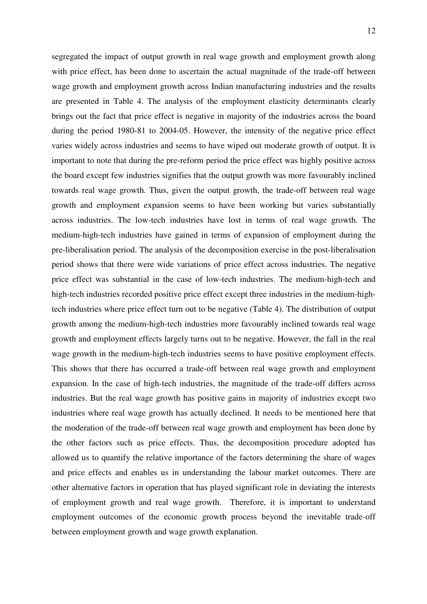segregated the impact of output growth in real wage growth and employment growth along with price effect, has been done to ascertain the actual magnitude of the trade-off between wage growth and employment growth across Indian manufacturing industries and the results are presented in Table 4. The analysis of the employment elasticity determinants clearly brings out the fact that price effect is negative in majority of the industries across the board during the period 1980-81 to 2004-05. However, the intensity of the negative price effect varies widely across industries and seems to have wiped out moderate growth of output. It is important to note that during the pre-reform period the price effect was highly positive across the board except few industries signifies that the output growth was more favourably inclined towards real wage growth. Thus, given the output growth, the trade-off between real wage growth and employment expansion seems to have been working but varies substantially across industries. The low-tech industries have lost in terms of real wage growth. The medium-high-tech industries have gained in terms of expansion of employment during the pre-liberalisation period. The analysis of the decomposition exercise in the post-liberalisation period shows that there were wide variations of price effect across industries. The negative price effect was substantial in the case of low-tech industries. The medium-high-tech and high-tech industries recorded positive price effect except three industries in the medium-hightech industries where price effect turn out to be negative (Table 4). The distribution of output growth among the medium-high-tech industries more favourably inclined towards real wage growth and employment effects largely turns out to be negative. However, the fall in the real wage growth in the medium-high-tech industries seems to have positive employment effects. This shows that there has occurred a trade-off between real wage growth and employment expansion. In the case of high-tech industries, the magnitude of the trade-off differs across industries. But the real wage growth has positive gains in majority of industries except two industries where real wage growth has actually declined. It needs to be mentioned here that the moderation of the trade-off between real wage growth and employment has been done by the other factors such as price effects. Thus, the decomposition procedure adopted has allowed us to quantify the relative importance of the factors determining the share of wages and price effects and enables us in understanding the labour market outcomes. There are other alternative factors in operation that has played significant role in deviating the interests of employment growth and real wage growth. Therefore, it is important to understand employment outcomes of the economic growth process beyond the inevitable trade-off between employment growth and wage growth explanation.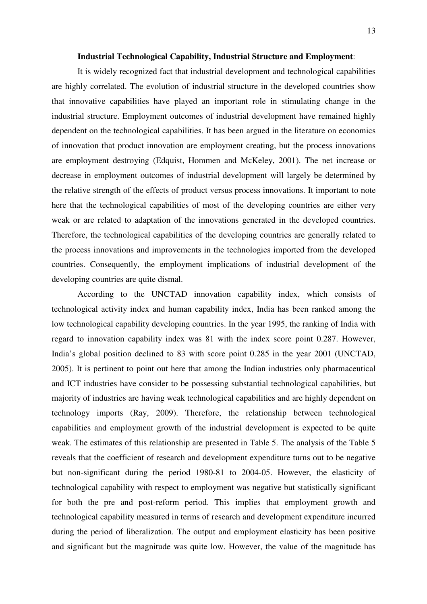#### **Industrial Technological Capability, Industrial Structure and Employment**:

It is widely recognized fact that industrial development and technological capabilities are highly correlated. The evolution of industrial structure in the developed countries show that innovative capabilities have played an important role in stimulating change in the industrial structure. Employment outcomes of industrial development have remained highly dependent on the technological capabilities. It has been argued in the literature on economics of innovation that product innovation are employment creating, but the process innovations are employment destroying (Edquist, Hommen and McKeley, 2001). The net increase or decrease in employment outcomes of industrial development will largely be determined by the relative strength of the effects of product versus process innovations. It important to note here that the technological capabilities of most of the developing countries are either very weak or are related to adaptation of the innovations generated in the developed countries. Therefore, the technological capabilities of the developing countries are generally related to the process innovations and improvements in the technologies imported from the developed countries. Consequently, the employment implications of industrial development of the developing countries are quite dismal.

According to the UNCTAD innovation capability index, which consists of technological activity index and human capability index, India has been ranked among the low technological capability developing countries. In the year 1995, the ranking of India with regard to innovation capability index was 81 with the index score point 0.287. However, India's global position declined to 83 with score point 0.285 in the year 2001 (UNCTAD, 2005). It is pertinent to point out here that among the Indian industries only pharmaceutical and ICT industries have consider to be possessing substantial technological capabilities, but majority of industries are having weak technological capabilities and are highly dependent on technology imports (Ray, 2009). Therefore, the relationship between technological capabilities and employment growth of the industrial development is expected to be quite weak. The estimates of this relationship are presented in Table 5. The analysis of the Table 5 reveals that the coefficient of research and development expenditure turns out to be negative but non-significant during the period 1980-81 to 2004-05. However, the elasticity of technological capability with respect to employment was negative but statistically significant for both the pre and post-reform period. This implies that employment growth and technological capability measured in terms of research and development expenditure incurred during the period of liberalization. The output and employment elasticity has been positive and significant but the magnitude was quite low. However, the value of the magnitude has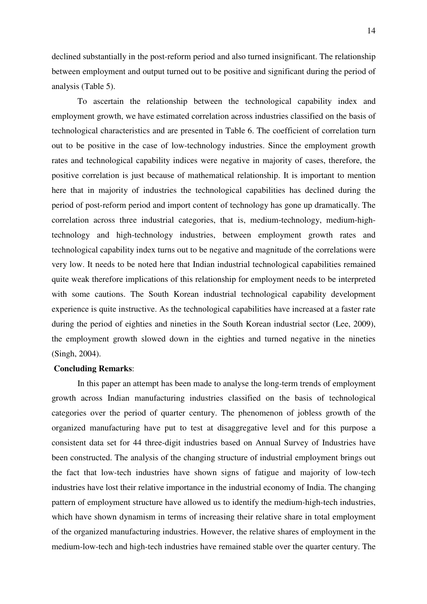declined substantially in the post-reform period and also turned insignificant. The relationship between employment and output turned out to be positive and significant during the period of analysis (Table 5).

To ascertain the relationship between the technological capability index and employment growth, we have estimated correlation across industries classified on the basis of technological characteristics and are presented in Table 6. The coefficient of correlation turn out to be positive in the case of low-technology industries. Since the employment growth rates and technological capability indices were negative in majority of cases, therefore, the positive correlation is just because of mathematical relationship. It is important to mention here that in majority of industries the technological capabilities has declined during the period of post-reform period and import content of technology has gone up dramatically. The correlation across three industrial categories, that is, medium-technology, medium-hightechnology and high-technology industries, between employment growth rates and technological capability index turns out to be negative and magnitude of the correlations were very low. It needs to be noted here that Indian industrial technological capabilities remained quite weak therefore implications of this relationship for employment needs to be interpreted with some cautions. The South Korean industrial technological capability development experience is quite instructive. As the technological capabilities have increased at a faster rate during the period of eighties and nineties in the South Korean industrial sector (Lee, 2009), the employment growth slowed down in the eighties and turned negative in the nineties (Singh, 2004).

#### **Concluding Remarks**:

 In this paper an attempt has been made to analyse the long-term trends of employment growth across Indian manufacturing industries classified on the basis of technological categories over the period of quarter century. The phenomenon of jobless growth of the organized manufacturing have put to test at disaggregative level and for this purpose a consistent data set for 44 three-digit industries based on Annual Survey of Industries have been constructed. The analysis of the changing structure of industrial employment brings out the fact that low-tech industries have shown signs of fatigue and majority of low-tech industries have lost their relative importance in the industrial economy of India. The changing pattern of employment structure have allowed us to identify the medium-high-tech industries, which have shown dynamism in terms of increasing their relative share in total employment of the organized manufacturing industries. However, the relative shares of employment in the medium-low-tech and high-tech industries have remained stable over the quarter century. The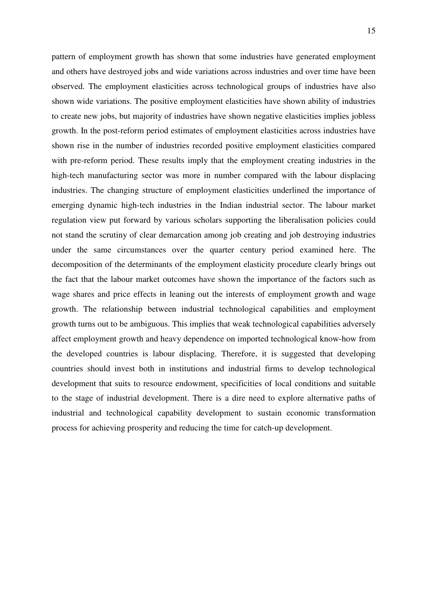pattern of employment growth has shown that some industries have generated employment and others have destroyed jobs and wide variations across industries and over time have been observed. The employment elasticities across technological groups of industries have also shown wide variations. The positive employment elasticities have shown ability of industries to create new jobs, but majority of industries have shown negative elasticities implies jobless growth. In the post-reform period estimates of employment elasticities across industries have shown rise in the number of industries recorded positive employment elasticities compared with pre-reform period. These results imply that the employment creating industries in the high-tech manufacturing sector was more in number compared with the labour displacing industries. The changing structure of employment elasticities underlined the importance of emerging dynamic high-tech industries in the Indian industrial sector. The labour market regulation view put forward by various scholars supporting the liberalisation policies could not stand the scrutiny of clear demarcation among job creating and job destroying industries under the same circumstances over the quarter century period examined here. The decomposition of the determinants of the employment elasticity procedure clearly brings out the fact that the labour market outcomes have shown the importance of the factors such as wage shares and price effects in leaning out the interests of employment growth and wage growth. The relationship between industrial technological capabilities and employment growth turns out to be ambiguous. This implies that weak technological capabilities adversely affect employment growth and heavy dependence on imported technological know-how from the developed countries is labour displacing. Therefore, it is suggested that developing countries should invest both in institutions and industrial firms to develop technological development that suits to resource endowment, specificities of local conditions and suitable to the stage of industrial development. There is a dire need to explore alternative paths of industrial and technological capability development to sustain economic transformation process for achieving prosperity and reducing the time for catch-up development.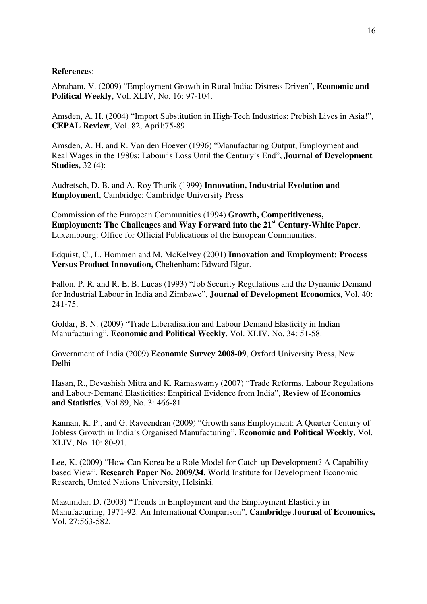## **References**:

Abraham, V. (2009) "Employment Growth in Rural India: Distress Driven", **Economic and Political Weekly**, Vol. XLIV, No. 16: 97-104.

Amsden, A. H. (2004) "Import Substitution in High-Tech Industries: Prebish Lives in Asia!", **CEPAL Review**, Vol. 82, April:75-89.

Amsden, A. H. and R. Van den Hoever (1996) "Manufacturing Output, Employment and Real Wages in the 1980s: Labour's Loss Until the Century's End", **Journal of Development Studies,** 32 (4):

Audretsch, D. B. and A. Roy Thurik (1999) **Innovation, Industrial Evolution and Employment**, Cambridge: Cambridge University Press

Commission of the European Communities (1994) **Growth, Competitiveness, Employment: The Challenges and Way Forward into the 21st Century-White Paper**, Luxembourg: Office for Official Publications of the European Communities.

Edquist, C., L. Hommen and M. McKelvey (2001**) Innovation and Employment: Process Versus Product Innovation,** Cheltenham: Edward Elgar.

Fallon, P. R. and R. E. B. Lucas (1993) "Job Security Regulations and the Dynamic Demand for Industrial Labour in India and Zimbawe", **Journal of Development Economics**, Vol. 40: 241-75.

Goldar, B. N. (2009) "Trade Liberalisation and Labour Demand Elasticity in Indian Manufacturing", **Economic and Political Weekly**, Vol. XLIV, No. 34: 51-58.

Government of India (2009) **Economic Survey 2008-09**, Oxford University Press, New Delhi

Hasan, R., Devashish Mitra and K. Ramaswamy (2007) "Trade Reforms, Labour Regulations and Labour-Demand Elasticities: Empirical Evidence from India", **Review of Economics and Statistics**, Vol.89, No. 3: 466-81.

Kannan, K. P., and G. Raveendran (2009) "Growth sans Employment: A Quarter Century of Jobless Growth in India's Organised Manufacturing", **Economic and Political Weekly**, Vol. XLIV, No. 10: 80-91.

Lee, K. (2009) "How Can Korea be a Role Model for Catch-up Development? A Capabilitybased View", **Research Paper No. 2009/34**, World Institute for Development Economic Research, United Nations University, Helsinki.

Mazumdar. D. (2003) "Trends in Employment and the Employment Elasticity in Manufacturing, 1971-92: An International Comparison", **Cambridge Journal of Economics,** Vol. 27:563-582.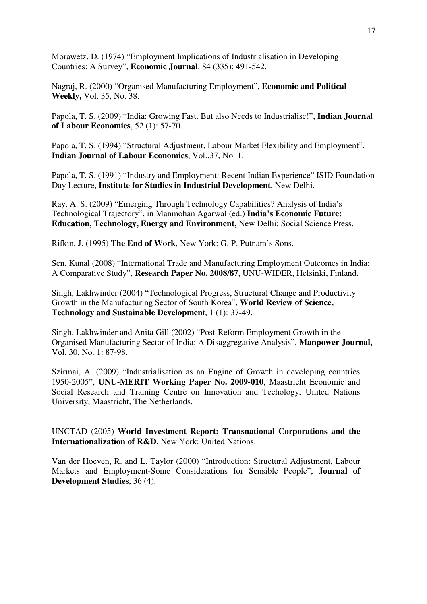Morawetz, D. (1974) "Employment Implications of Industrialisation in Developing Countries: A Survey", **Economic Journal**, 84 (335): 491-542.

Nagraj, R. (2000) "Organised Manufacturing Employment", **Economic and Political Weekly,** Vol. 35, No. 38.

Papola, T. S. (2009) "India: Growing Fast. But also Needs to Industrialise!", **Indian Journal of Labour Economics**, 52 (1): 57-70.

Papola, T. S. (1994) "Structural Adjustment, Labour Market Flexibility and Employment", **Indian Journal of Labour Economics**, Vol..37, No. 1.

Papola, T. S. (1991) "Industry and Employment: Recent Indian Experience" ISID Foundation Day Lecture, **Institute for Studies in Industrial Development**, New Delhi.

Ray, A. S. (2009) "Emerging Through Technology Capabilities? Analysis of India's Technological Trajectory", in Manmohan Agarwal (ed.) **India's Economic Future: Education, Technology, Energy and Environment,** New Delhi: Social Science Press.

Rifkin, J. (1995) **The End of Work**, New York: G. P. Putnam's Sons.

Sen, Kunal (2008) "International Trade and Manufacturing Employment Outcomes in India: A Comparative Study", **Research Paper No. 2008/87**, UNU-WIDER, Helsinki, Finland.

Singh, Lakhwinder (2004) "Technological Progress, Structural Change and Productivity Growth in the Manufacturing Sector of South Korea", **World Review of Science, Technology and Sustainable Developmen**t, 1 (1): 37-49.

Singh, Lakhwinder and Anita Gill (2002) "Post-Reform Employment Growth in the Organised Manufacturing Sector of India: A Disaggregative Analysis", **Manpower Journal,** Vol. 30, No. 1: 87-98.

Szirmai, A. (2009) "Industrialisation as an Engine of Growth in developing countries 1950-2005", **UNU-MERIT Working Paper No. 2009-010**, Maastricht Economic and Social Research and Training Centre on Innovation and Techology, United Nations University, Maastricht, The Netherlands.

UNCTAD (2005) **World Investment Report: Transnational Corporations and the Internationalization of R&D**, New York: United Nations.

Van der Hoeven, R. and L. Taylor (2000) "Introduction: Structural Adjustment, Labour Markets and Employment-Some Considerations for Sensible People", **Journal of Development Studies**, 36 (4).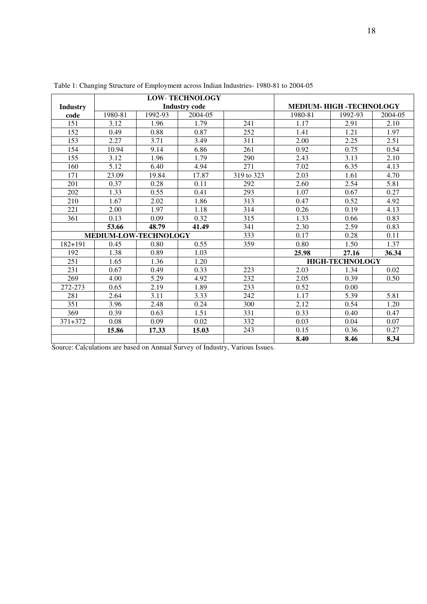|                 |                       |         | <b>LOW-TECHNOLOGY</b> |            |                                 |                        |         |  |  |
|-----------------|-----------------------|---------|-----------------------|------------|---------------------------------|------------------------|---------|--|--|
| <b>Industry</b> |                       |         | <b>Industry code</b>  |            | <b>MEDIUM- HIGH -TECHNOLOGY</b> |                        |         |  |  |
| code            | 1980-81               | 1992-93 | 2004-05               |            | 1980-81                         | 1992-93                | 2004-05 |  |  |
| 151             | 3.12                  | 1.96    | 1.79                  | 241        | 1.17                            | 2.91                   | 2.10    |  |  |
| 152             | 0.49                  | 0.88    | 0.87                  | 252        | 1.41                            | 1.21                   | 1.97    |  |  |
| 153             | 2.27                  | 3.71    | 3.49                  | 311        | 2.00                            | 2.25                   | 2.51    |  |  |
| 154             | 10.94                 | 9.14    | 6.86                  | 261        | 0.92                            | 0.75                   | 0.54    |  |  |
| 155             | 3.12                  | 1.96    | 1.79                  | 290        | 2.43                            | 3.13                   | 2.10    |  |  |
| 160             | 5.12                  | 6.40    | 4.94                  | 271        | 7.02                            | 6.35                   | 4.13    |  |  |
| 171             | 23.09                 | 19.84   | 17.87                 | 319 to 323 | 2.03                            | 1.61                   | 4.70    |  |  |
| 201             | 0.37                  | 0.28    | 0.11                  | 292        | 2.60                            | 2.54                   | 5.81    |  |  |
| 202             | 1.33                  | 0.55    | 0.41                  | 293        | 1.07                            | 0.67                   | 0.27    |  |  |
| 210             | 1.67                  | 2.02    | 1.86                  | 313        | 0.47                            | 0.52                   | 4.92    |  |  |
| 221             | 2.00                  | 1.97    | 1.18                  | 314        | 0.26                            | 0.19                   | 4.13    |  |  |
| 361             | 0.13                  | 0.09    | 0.32                  | 315        | 1.33                            | 0.66                   | 0.83    |  |  |
|                 | 53.66                 | 48.79   | 41.49                 | 341        | 2.30                            | 2.59                   | 0.83    |  |  |
|                 | MEDIUM-LOW-TECHNOLOGY |         |                       | 333        | 0.17                            | 0.28                   | 0.11    |  |  |
| $182 + 191$     | 0.45                  | 0.80    | 0.55                  | 359        | 0.80                            | 1.50                   | 1.37    |  |  |
| 192             | 1.38                  | 0.89    | 1.03                  |            | 25.98                           | 27.16                  | 36.34   |  |  |
| 251             | 1.65                  | 1.36    | 1.20                  |            |                                 | <b>HIGH-TECHNOLOGY</b> |         |  |  |
| 231             | 0.67                  | 0.49    | 0.33                  | 223        | 2.03                            | 1.34                   | 0.02    |  |  |
| 269             | 4.00                  | 5.29    | 4.92                  | 232        | 2.05                            | 0.39                   | 0.50    |  |  |
| 272-273         | 0.65                  | 2.19    | 1.89                  | 233        | 0.52                            | 0.00                   |         |  |  |
| 281             | 2.64                  | 3.11    | 3.33                  | 242        | 1.17                            | 5.39                   | 5.81    |  |  |
| 351             | 3.96                  | 2.48    | 0.24                  | 300        | 2.12                            | 0.54                   | 1.20    |  |  |
| 369             | 0.39                  | 0.63    | 1.51                  | 331        | 0.33                            | 0.40                   | 0.47    |  |  |
| 371+372         | 0.08                  | 0.09    | 0.02                  | 332        | 0.03                            | 0.04                   | 0.07    |  |  |
|                 | 15.86                 | 17.33   | 15.03                 | 243        | 0.15                            | 0.36                   | 0.27    |  |  |
|                 |                       |         |                       |            | 8.40                            | 8.46                   | 8.34    |  |  |

Table 1: Changing Structure of Employment across Indian Industries- 1980-81 to 2004-05

Source: Calculations are based on Annual Survey of Industry, Various Issues.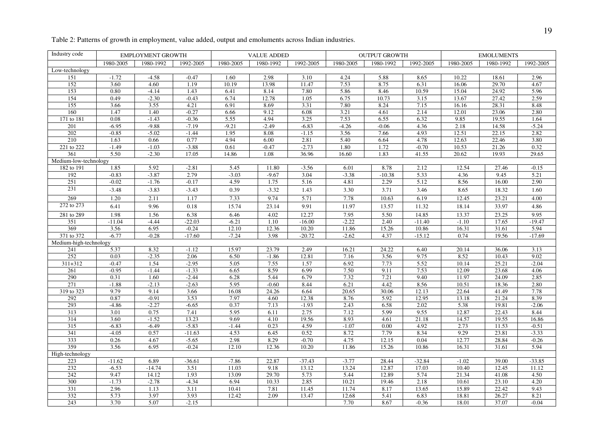| Table 2: Patterns of growth in employment, value added, output and emoluments across Indian industries. |  |  |
|---------------------------------------------------------------------------------------------------------|--|--|
|                                                                                                         |  |  |

| Industry code          | <b>EMPLOYMENT GROWTH</b> |                  | <b>VALUE ADDED</b> |                  | <b>OUTPUT GROWTH</b> |              |               | <b>EMOLUMENTS</b> |              |                |                |               |
|------------------------|--------------------------|------------------|--------------------|------------------|----------------------|--------------|---------------|-------------------|--------------|----------------|----------------|---------------|
|                        | 1980-2005                | 1980-1992        | 1992-2005          | 1980-2005        | 1980-1992            | 1992-2005    | 1980-2005     | 1980-1992         | 1992-2005    | 1980-2005      | 1980-1992      | 1992-2005     |
| Low-technology         |                          |                  |                    |                  |                      |              |               |                   |              |                |                |               |
| 151                    | $-1.72$                  | $-4.58$          | $-0.47$            | 1.60             | 2.98                 | 3.10         | 4.24          | 5.88              | 8.65         | 10.22          | 18.61          | 2.96          |
| 152                    | 3.60                     | 4.60             | 1.19               | 10.19            | 13.98                | 11.47        | 7.53          | 8.75              | 6.31         | 16.06          | 29.70          | 4.67          |
| 153                    | 0.80                     | $-4.14$          | 1.43               | 6.41             | 8.14                 | 7.80         | 5.86          | 8.46              | 10.59        | 15.04          | 24.92          | 5.96          |
| 154                    | 0.49                     | $-2.30$          | $-0.43$            | 6.74             | 12.78                | 1.05         | 6.75          | 10.73             | 3.15         | 13.67          | 27.42          | 2.59          |
| 155                    | 3.66                     | 3.55             | 4.21               | 6.91             | 8.69                 | 3.31         | 7.80          | 8.24              | 7.15         | 16.16          | 28.31          | 8.48          |
| 160                    | 1.47                     | 1.40             | $-0.27$            | 6.66             | 9.12                 | 6.08         | 3.21          | 4.61              | 2.14         | 12.01          | 23.06          | 2.80          |
| 171 to 181             | 0.08                     | $-1.43$          | $-0.36$            | 5.55             | 4.94                 | 3.25         | 7.53          | 6.55              | 6.32         | 9.85           | 19.55          | 1.64          |
| 201                    | $-6.95$                  | $-9.88$          | $-7.19$            | $-9.21$          | $-2.49$              | $-6.83$      | $-4.26$       | $-0.06$           | 4.36         | 2.18           | 14.58          | $-5.24$       |
| 202                    | $-0.85$                  | $-5.02$          | $-1.44$            | 1.95             | 8.08                 | $-1.15$      | 3.56          | 7.66              | 4.93         | 12.51          | 22.15          | 2.82          |
| 210                    | 1.63                     | 0.66             | 0.77               | 4.94             | 6.00                 | 2.81         | 5.40          | 6.64              | 4.78         | 12.63          | 22.46          | 3.80          |
| 221 to 222             | $-1.49$                  | $-1.03$          | $-3.88$            | 0.61             | $-0.47$              | $-2.73$      | 1.80          | 1.72              | $-0.70$      | 10.53          | 21.26          | 0.32          |
| 361                    | 5.50                     | $-2.30$          | 17.05              | 14.86            | 1.08                 | 36.96        | 16.60         | 1.83              | 41.55        | 20.62          | 19.93          | 29.65         |
| Medium-low-technology  |                          |                  |                    |                  |                      |              |               |                   |              |                |                |               |
| 182 to 191             | 1.85                     | 5.92             | $-2.81$            | 5.45             | 11.80                | $-3.56$      | 6.01          | 8.78              | 2.12         | 12.54          | 27.46          | $-0.15$       |
| 192                    | $-0.83$                  | $-3.87$          | 2.79               | $-3.03$          | $-9.67$              | 3.04         | $-3.38$       | $-10.38$          | 5.33         | 4.36           | 9.45           | 5.21          |
| 251                    | $-0.02$                  | $-1.76$          | $-0.17$            | 4.59             | 1.75                 | 5.16         | 4.81          | 2.29              | 5.12         | 8.56           | 16.00          | 2.90          |
| 231                    | $-3.48$                  | $-3.83$          | $-3.43$            | 0.39             | $-3.32$              | 1.43         | 3.30          | 3.71              | 3.46         | 8.65           | 18.32          | 1.60          |
| 269                    | 1.20                     | 2.11             | 1.17               | 7.33             | 9.74                 | 5.71         | 7.78          | 10.63             | 6.19         | 12.45          | 23.21          | 4.00          |
| 272 to 273             | 6.41                     | 9.96             | 0.18               | 15.74            | 23.14                | 9.91         | 11.97         | 13.57             | 11.32        | 18.14          | 33.97          | 4.86          |
| 281 to 289             | 1.98                     | 1.56             | 6.38               | 6.46             | 4.02                 | 12.27        | 7.95          | 5.50              | 14.85        | 13.37          | 23.25          | 9.95          |
| 351                    | $-11.04$                 | $-4.44$          | $-22.03$           | $-6.21$          | 1.10                 | $-16.00$     | $-2.22$       | 2.40              | $-11.40$     | $-1.10$        | 17.65          | $-19.47$      |
| 369                    | 3.56                     | 6.95             | $-0.24$            | 12.10            | 12.36                | 10.20        | 11.86         | 15.26             | 10.86        | 16.31          | 31.61          | 5.94          |
| 371 to 372             | $-6.77$                  | $-0.28$          | $-17.60$           | $-7.24$          | 3.98                 | $-20.72$     | $-2.62$       | 4.37              | $-15.12$     | 0.74           | 19.56          | $-17.69$      |
| Medium-high-technology |                          |                  |                    |                  |                      |              |               |                   |              |                |                |               |
| 241                    | 5.37                     | 8.32             | $-1.12$            | 15.97            | 23.79                | 2.49         | 16.21         | 24.22             | 6.40         | 20.14          | 36.06          | 3.13          |
| 252                    | 0.03                     | $-2.35$          | 2.06               | 6.50             | $-1.86$              | 12.81        | 7.16          | 3.56              | 9.75         | 8.52           | 10.43          | 9.02          |
| 311+312                | $-0.47$                  | 1.54             | $-2.95$            | 5.05             | 7.55                 | 1.57         | 6.92          | 7.73              | 5.52         | 10.14          | 25.21          | $-2.04$       |
| 261                    | $-0.95$                  | $-1.44$          | $-1.33$            | 6.65             | 8.59                 | 6.99         | 7.50          | 9.11              | 7.53         | 12.09          | 23.68          | 4.06          |
| 290                    | 0.31                     | 1.60             | $-2.44$            | 6.28             | 5.44                 | 6.79         | 7.32          | 7.21              | 9.40         | 11.97          | 24.09          | 2.85          |
| 271                    | $-1.88$                  | $-2.13$          | $-2.63$            | 5.95             | $-0.60$              | 8.44         | 6.21          | 4.42              | 8.56         | 10.51          | 18.36          | 2.80          |
| 319 to 323             | 9.79                     | 9.14             | 3.66               | 16.08            | 24.26                | 6.64         | 20.65         | 30.06             | 12.13        | 22.64          | 41.49          | 7.78          |
| 292                    | 0.87                     | $-0.91$          | 3.53               | 7.97             | 4.60                 | 12.38        | 8.76          | 5.92              | 12.95        | 13.18          | 21.24          | 8.39          |
| 293                    | $-4.86$                  | $-2.27$          | $-6.65$            | 0.37             | 7.13                 | $-1.93$      | 2.43          | 6.58              | 2.02         | 5.38           | 19.81          | $-2.06$       |
| 313                    | 3.01                     | 0.75             | 7.41               | 5.95             | 6.11                 | 2.75         | 7.12          | 5.99              | 9.55         | 12.87          | 22.43          | 8.44          |
| 314                    | 3.60                     | $-1.52$          | 13.23              | 9.69             | 4.10                 | 19.56        | 8.93          | 4.61              | 21.18        | 14.57          | 19.55          | 16.86         |
| 315                    | $-6.83$                  | $-6.49$          | $-5.83$            | $-1.44$          | 0.23                 | 4.59         | $-1.07$       | 0.00              | 4.92         | 2.73           | 11.53          | $-0.51$       |
| 341                    | $-4.05$                  | 0.57             | $-11.63$           | 4.53             | 6.45                 | 0.52         | 8.72          | 7.79              | 8.34         | 9.29           | 23.81          | $-3.33$       |
| 333                    | 0.26                     | 4.67             | $-5.65$            | 2.98             | 8.29                 | $-0.70$      | 4.75          | 12.15             | 0.04         | 12.77          | 28.84          | $-0.26$       |
| 359                    | 3.56                     | 6.95             | $-0.24$            | 12.10            | 12.36                | 10.20        | 11.86         | 15.26             | 10.86        | 16.31          | 31.61          | 5.94          |
| High-technology        |                          | 6.89             |                    |                  |                      | $-37.43$     |               |                   | $-32.84$     |                |                |               |
| 223<br>232             | $-11.62$                 | $-14.74$         | $-36.61$           | $-7.86$<br>11.03 | 22.87<br>9.18        |              | $-3.77$       | 28.44<br>12.87    | 17.03        | $-1.02$        | 39.00          | $-33.85$      |
| 242                    | $-6.53$                  |                  | 3.51               | 13.09            | 29.70                | 13.12        | 13.24         |                   |              | 10.40          | 12.45          | 11.12<br>4.50 |
| 300                    | 9.47<br>$-1.73$          | 14.12<br>$-2.78$ | 1.93<br>$-4.34$    | 6.94             | 10.33                | 5.73<br>2.85 | 5.44<br>10.21 | 12.89<br>19.46    | 5.74<br>2.18 | 21.34          | 41.08<br>23.10 | 4.20          |
| 331                    | 2.96                     | 1.13             | 3.11               | 10.41            | 7.81                 | 11.45        | 11.74         | 8.17              | 13.65        | 10.61<br>15.89 | 22.42          | 9.43          |
| 332                    | 5.73                     | 3.97             | 3.93               | 12.42            | 2.09                 | 13.47        | 12.68         | 5.41              | 6.83         | 18.81          | 26.27          | 8.21          |
| 243                    | 3.70                     | 5.07             | $-2.15$            |                  |                      |              | 7.70          | 8.67              | $-0.36$      | 18.01          | 37.07          | $-0.04$       |
|                        |                          |                  |                    |                  |                      |              |               |                   |              |                |                |               |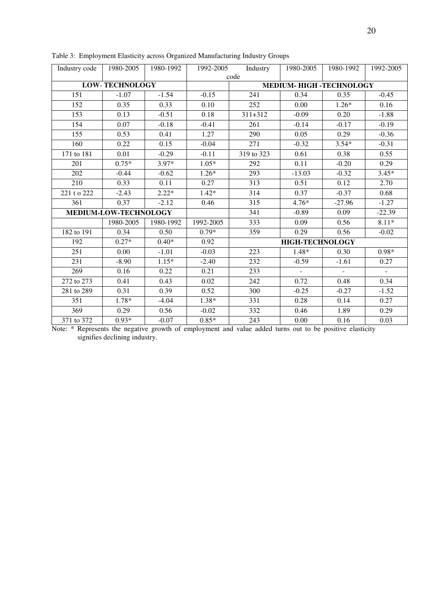| Industry code | 1980-2005             | 1980-1992 | 1992-2005 | Industry                      | 1980-2005                | 1980-1992                | 1992-2005      |
|---------------|-----------------------|-----------|-----------|-------------------------------|--------------------------|--------------------------|----------------|
|               |                       |           |           | code                          |                          |                          |                |
|               | <b>LOW-TECHNOLOGY</b> |           |           | <b>MEDIUM-HIGH-TECHNOLOGY</b> |                          |                          |                |
| 151           | $-1.07$               | $-1.54$   | $-0.15$   | 241                           | 0.34                     | 0.35                     | $-0.45$        |
| 152           | 0.35                  | 0.33      | 0.10      | 252                           | 0.00                     | $1.26*$                  | 0.16           |
| 153           | 0.13                  | $-0.51$   | 0.18      | $311 + 312$                   | $-0.09$                  | 0.20                     | $-1.88$        |
| 154           | 0.07                  | $-0.18$   | $-0.41$   | 261                           | $-0.14$                  | $-0.17$                  | $-0.19$        |
| 155           | 0.53                  | 0.41      | 1.27      | 290                           | 0.05                     | 0.29                     | $-0.36$        |
| 160           | 0.22                  | 0.15      | $-0.04$   | 271                           | $-0.32$                  | $3.54*$                  | $-0.31$        |
| 171 to 181    | 0.01                  | $-0.29$   | $-0.11$   | 319 to 323                    | 0.61                     | 0.38                     | 0.55           |
| 201           | $0.75*$               | $3.97*$   | $1.05*$   | 292                           | 0.11                     | $-0.20$                  | 0.29           |
| 202           | $-0.44$               | $-0.62$   | $1.26*$   | 293                           | $-13.03$                 | $-0.32$                  | $3.45*$        |
| 210           | 0.33                  | 0.11      | 0.27      | 313                           | 0.51                     | 0.12                     | 2.70           |
| 221 t o 222   | $-2.43$               | $2.22*$   | $1.42*$   | 314                           | 0.37                     | $-0.37$                  | 0.68           |
| 361           | 0.37                  | $-2.12$   | 0.46      | 315                           | $4.76*$                  | $-27.96$                 | $-1.27$        |
|               | MEDIUM-LOW-TECHNOLOGY |           |           | 341                           | $-0.89$                  | 0.09                     | $-22.39$       |
|               | 1980-2005             | 1980-1992 | 1992-2005 | 333                           | 0.09                     | 0.56                     | $8.11*$        |
| 182 to 191    | 0.34                  | 0.50      | $0.79*$   | 359                           | 0.29                     | 0.56                     | $-0.02$        |
| 192           | $0.27*$               | $0.40*$   | 0.92      |                               | <b>HIGH-TECHNOLOGY</b>   |                          |                |
| 251           | 0.00                  | $-1.01$   | $-0.03$   | 223                           | $1.48*$                  | 0.30                     | $0.98*$        |
| 231           | $-8.90$               | $1.15*$   | $-2.40$   | 232                           | $-0.59$                  | $-1.61$                  | 0.27           |
| 269           | 0.16                  | 0.22      | 0.21      | 233                           | $\overline{\phantom{a}}$ | $\overline{\phantom{0}}$ | $\blacksquare$ |
| 272 to 273    | 0.41                  | 0.43      | 0.02      | 242                           | 0.72                     | 0.48                     | 0.34           |
| 281 to 289    | 0.31                  | 0.39      | 0.52      | 300                           | $-0.25$                  | $-0.27$                  | $-1.52$        |
| 351           | 1.78*                 | $-4.04$   | $1.38*$   | 331                           | 0.28                     | 0.14                     | 0.27           |
| 369           | 0.29                  | 0.56      | $-0.02$   | 332                           | 0.46                     | 1.89                     | 0.29           |
| 371 to 372    | $0.93*$               | $-0.07$   | $0.85*$   | 243                           | 0.00                     | 0.16                     | 0.03           |

Table 3: Employment Elasticity across Organized Manufacturing Industry Groups

Note: \* Represents the negative growth of employment and value added turns out to be positive elasticity signifies declining industry.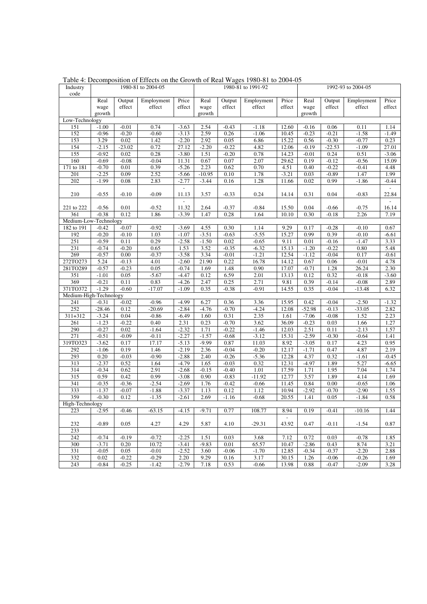| Industry               |                    |                 | 1980-81 to 2004-05 | 1980-81 to 1991-92       |              |                    |                    | 1992-93 to 2004-05 |                    |                 |                 |                 |
|------------------------|--------------------|-----------------|--------------------|--------------------------|--------------|--------------------|--------------------|--------------------|--------------------|-----------------|-----------------|-----------------|
| code                   |                    |                 |                    |                          |              |                    |                    |                    |                    |                 |                 |                 |
|                        | Real               | Output          | Employment         | Price                    | Real         | Output             | Employment         | Price              | Real               | Output          | Employment      | Price           |
|                        | wage               | effect          | effect             | effect                   | wage         | effect             | effect             | effect             | wage               | effect          | effect          | effect          |
|                        | growth             |                 |                    |                          | growth       |                    |                    |                    | growth             |                 |                 |                 |
| Low-Technology         |                    | $-0.01$         | 0.74               |                          | 2.54         |                    |                    |                    |                    |                 |                 |                 |
| 151<br>152             | $-1.00$<br>$-0.96$ | $-0.20$         | $-0.60$            | $-3.63$<br>$-3.13$       | 2.59         | $-0.43$<br>0.26    | $-1.18$<br>$-1.06$ | 12.60<br>10.45     | $-0.16$<br>$-0.23$ | 0.06<br>$-0.21$ | 0.11<br>$-1.58$ | 1.14<br>$-1.49$ |
|                        | 3.29               | 0.02            |                    | $-2.20$                  | 2.92         | 0.05               |                    | 15.22              | 0.56               | $-0.30$         | $-0.77$         | 0.23            |
| 153<br>154             | $-2.15$            | $-23.02$        | 1.42<br>0.72       | 27.12                    | $-2.20$      | $-0.22$            | 6.86<br>4.82       | 12.06              | $-0.19$            | $-22.53$        | $-1.09$         | 27.01           |
| 155                    | $-0.92$            | 0.02            | 0.28               | $-3.80$                  | 1.51         | $-0.20$            | 0.78               | 14.23              | $-0.01$            | 0.24            | 0.51            | $-3.06$         |
| 160                    | $-0.69$            | $-0.08$         | $-0.04$            | 11.31                    | 0.67         | 0.07               | 2.07               | 29.62              | 0.19               | $-0.12$         | $-0.56$         | 15.09           |
| 171 to 181             | $-0.70$            | 0.01            | 0.39               | $-5.26$                  | 2.23         | 0.62               | 0.70               | 4.51               | 0.40               | $-0.22$         | $-0.41$         | 4.48            |
| 201                    | $-2.25$            | 0.09            | 2.52               | $-5.66$                  | $-10.95$     | 0.10               | 1.78               | $-3.21$            | 0.03               | $-0.89$         | 1.47            | 1.99            |
| 202                    | $-1.99$            | 0.08            | 2.83               | $-2.77$                  | $-3.44$      | 0.16               | 1.28               | 11.66              | 0.02               | 0.99            | $-1.86$         | $-0.44$         |
|                        |                    |                 |                    | $\overline{\phantom{a}}$ |              |                    |                    |                    |                    |                 |                 |                 |
| 210                    | $-0.55$            | $-0.10$         | $-0.09$            | 11.13                    | 3.57         | $-0.33$            | 0.24               | 14.14              | 0.31               | 0.04            | $-0.83$         | 22.84           |
|                        |                    |                 |                    | $\overline{\phantom{m}}$ |              |                    |                    |                    |                    |                 |                 |                 |
| 221 to 222             | $-0.56$            | 0.01            | $-0.52$            | 11.32                    | 2.64         | $-0.37$            | $-0.84$            | 15.50              | 0.04               | $-0.66$         | $-0.75$         | 16.14           |
| 361                    | $-0.38$            | 0.12            | 1.86               | $-3.39$                  | 1.47         | 0.28               | 1.64               | 10.10              | 0.30               | $-0.18$         | 2.26            | 7.19            |
| Medium-Low-Technology  |                    |                 |                    |                          |              |                    |                    |                    |                    |                 |                 |                 |
| 182 to 191             | $-0.42$            | $-0.07$         | $-0.92$            | $-3.69$                  | 4.55         | 0.30               | 1.14               | 9.29               | 0.17               | $-0.28$         | $-0.10$         | 0.67            |
| 192                    | $-0.20$            | $-0.10$         | 1.03               | $-1.07$                  | $-3.51$      | $-0.63$            | $-5.55$            | 15.27              | 0.99               | 0.39            | $-0.10$         | $-6.61$         |
| 251                    | $-0.59$            | 0.11            | 0.29               | $-2.58$                  | $-1.50$      | 0.02               | $-0.65$            | 9.11               | 0.01               | $-0.16$         | $-1.47$         | 3.33            |
| 231                    | $-0.74$            | $-0.20$         | 0.65               | 1.53                     | 3.52         | $-0.35$            | $-6.32$            | 15.13              | $-1.20$            | $-0.22$         | 0.80            | 5.48            |
| 269                    | $-0.57$            | 0.00            | $-0.37$            | $-3.58$                  | 3.34         | $-0.01$            | $-1.21$            | 12.54              | $-1.12$            | $-0.04$         | 0.17            | $-0.61$         |
| 272TO273               | 5.24               | $-0.13$         | 4.01               | $-2.60$                  | 21.90        | 0.22               | 16.78              | 14.12              | 0.67               | 0.06            | $-0.01$         | 4.78            |
| 281TO289               | $-0.57$            | $-0.23$         | 0.05               | $-0.74$                  | 1.69         | 1.48               | 0.90               | 17.07              | $-0.71$            | 1.28            | 26.24           | 2.30            |
| 351                    | $-1.01$            | 0.05            | $-5.67$            | $-4.47$                  | 0.12         | 6.59               | 2.01               | 13.13              | 0.12               | 0.32            | $-0.18$         | $-3.60$         |
| 369                    | $-0.21$            | 0.11            | 0.83               | $-4.26$                  | 2.47         | 0.25               | 2.71               | 9.81               | 0.39               | $-0.14$         | $-0.08$         | 2.89            |
| 371TO372               | $-1.29$            | $-0.60$         | $-17.07$           | $-1.09$                  | 0.35         | $-0.38$            | $-0.91$            | 14.55              | 0.35               | $-0.04$         | $-13.48$        | 6.32            |
| Medium-High-Technology |                    |                 |                    |                          |              |                    |                    |                    |                    |                 |                 |                 |
| 241                    | $-0.31$            | $-0.02$         | $-0.96$            | $-4.99$                  | 6.27         | 0.36               | 3.36               | 15.95              | 0.42               | $-0.04$         | $-2.50$         | $-1.32$         |
| 252                    | $-28.46$           | 0.12            | $-20.69$           | $-2.84$                  | $-4.76$      | $-0.70$            | $-4.24$            | 12.08              | $-52.98$           | $-0.13$         | $-33.05$        | 2.82            |
| 311+312                | $-3.24$            | 0.04            | $-0.86$            | $-6.49$                  | 1.60         | 0.31               | 2.35               | 1.61               | $-7.06$            | $-0.08$         | 1.52            | 2.23            |
| 261<br>290             | $-1.23$<br>$-0.27$ | $-0.22$<br>0.02 | 0.40<br>$-1.64$    | 2.31                     | 0.23<br>1.71 | $-0.70$<br>$-0.22$ | 3.62<br>$-1.46$    | 36.09<br>12.03     | $-0.23$<br>2.51    | 0.03<br>0.11    | 1.66<br>$-2.13$ | 1.27<br>1.57    |
| 271                    | $-0.51$            | $-0.09$         | $-0.11$            | $-2.32$<br>$-2.27$       | $-1.57$      | $-0.68$            | $-3.12$            | 15.31              | $-2.59$            | $-0.30$         | $-0.64$         | 1.41            |
| 319TO323               | $-3.62$            | 0.17            | 17.17              | $-5.13$                  | $-9.99$      | 0.87               | 11.03              | 8.92               | $-3.05$            | 0.17            | 4.23            | 0.95            |
| 292                    | $-1.06$            | 0.19            | 1.46               | $-2.19$                  | 2.36         | $-0.04$            | $-0.20$            | 12.17              | $-1.71$            | 0.47            | 4.87            | 2.19            |
| 293                    | 0.20               | $-0.03$         | $-0.90$            | $-2.88$                  | 2.40         | $-0.26$            | $-5.36$            | 12.28              | 4.37               | 0.32            | $-1.61$         | $-0.45$         |
| 313                    | $-2.37$            | 0.52            | 1.64               | $-4.79$                  | 1.65         | $-0.03$            | 0.32               | 12.31              | $-4.97$            | 1.89            | 5.27            | $-6.65$         |
| 314                    | $-0.34$            | 0.62            | 2.91               | $-2.68$                  | $-0.15$      | $-0.40$            | 1.01               | 17.59              | 1.71               | 1.95            | 7.04            | 1.74            |
| 315                    | 0.59               | 0.42            | 0.99               | $-3.08$                  | 0.90         | $-0.83$            | $-11.92$           | 12.77              | 3.57               | 1.89            | 4.14            | 1.69            |
| 341                    | $-0.35$            | $-0.36$         | $-2.54$            | $-2.69$                  | 1.76         | $-0.42$            | $-0.66$            | 11.45              | 0.84               | 0.00            | $-0.65$         | 1.06            |
| 333                    | $-1.37$            | $-0.07$         | $-1.88$            | $-3.37$                  | 1.13         | 0.12               | 1.12               | 10.94              | $-2.92$            | $-0.70$         | $-2.90$         | 1.55            |
| 359                    | $-0.30$            | 0.12            | $-1.35$            | $-2.61$                  | 2.69         | $-1.16$            | $-0.68$            | 20.55              | 1.41               | 0.05            | $-1.84$         | 0.58            |
| High-Technology        |                    |                 |                    |                          |              |                    |                    |                    |                    |                 |                 |                 |
| 223                    | $-2.95$            | $-0.46$         | $-63.15$           | $-4.15$                  | $-9.71$      | 0.77               | 108.77             | 8.94               | 0.19               | $-0.41$         | $-10.16$        | 1.44            |
|                        |                    |                 |                    |                          |              |                    |                    |                    |                    |                 |                 |                 |
| 232                    | $-0.89$            | 0.05            | 4.27               | 4.29                     | 5.87         | 4.10               | $-29.31$           | 43.92              | 0.47               | $-0.11$         | $-1.54$         | 0.87            |
| 233                    |                    |                 |                    |                          |              |                    |                    |                    |                    |                 |                 |                 |
| 242                    | $-0.74$            | $-0.19$         | $-0.72$            | $-2.25$                  | 1.51         | 0.03               | 3.68               | 7.12               | 0.72               | 0.03            | $-0.78$         | 1.85            |
| 300                    | $-3.71$            | 0.20            | 10.72              | $-3.41$                  | $-9.83$      | 0.01               | 65.57              | 10.47              | $-2.86$            | 0.43            | 8.74            | 3.21            |
| 331                    | $-0.05$            | 0.05            | $-0.01$            | $-2.52$                  | 3.60         | $-0.06$            | $-1.70$            | 12.85              | $-0.34$            | $-0.37$         | $-2.20$         | 2.88            |
| 332                    | 0.02               | $-0.22$         | $-0.29$            | 2.20                     | 9.29         | 0.16               | 3.17               | 30.15              | 1.26               | $-0.06$         | $-0.26$         | 1.69            |
| 243                    | $-0.84$            | $-0.25$         | $-1.42$            | $-2.79$                  | 7.18         | 0.53               | $-0.66$            | 13.98              | 0.88               | $-0.47$         | $-2.09$         | 3.28            |

Table 4: Decomposition of Effects on the Growth of Real Wages 1980-81 to 2004-05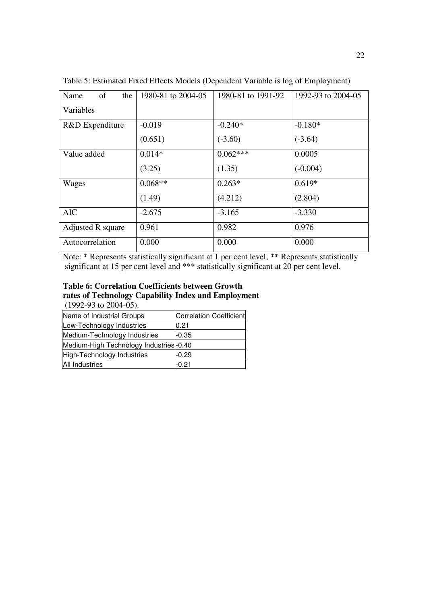| of<br>Name<br>the | 1980-81 to 2004-05 | 1980-81 to 1991-92 | 1992-93 to 2004-05 |
|-------------------|--------------------|--------------------|--------------------|
| Variables         |                    |                    |                    |
| R&D Expenditure   | $-0.019$           | $-0.240*$          | $-0.180*$          |
|                   | (0.651)            | $(-3.60)$          | $(-3.64)$          |
| Value added       | $0.014*$           | $0.062***$         | 0.0005             |
|                   | (3.25)             | (1.35)             | $(-0.004)$         |
| Wages             | $0.068**$          | $0.263*$           | $0.619*$           |
|                   | (1.49)             | (4.212)            | (2.804)            |
| <b>AIC</b>        | $-2.675$           | $-3.165$           | $-3.330$           |
| Adjusted R square | 0.961              | 0.982              | 0.976              |
| Autocorrelation   | 0.000              | 0.000              | 0.000              |

Table 5: Estimated Fixed Effects Models (Dependent Variable is log of Employment)

Note: \* Represents statistically significant at 1 per cent level; \*\* Represents statistically significant at 15 per cent level and \*\*\* statistically significant at 20 per cent level.

## **Table 6: Correlation Coefficients between Growth rates of Technology Capability Index and Employment** (1992-93 to 2004-05).

| Name of Industrial Groups              | Correlation Coefficient |
|----------------------------------------|-------------------------|
| Low-Technology Industries              | 0.21                    |
| Medium-Technology Industries           | $-0.35$                 |
| Medium-High Technology Industries-0.40 |                         |
| High-Technology Industries             | -0.29                   |
| <b>All Industries</b>                  | -0.21                   |